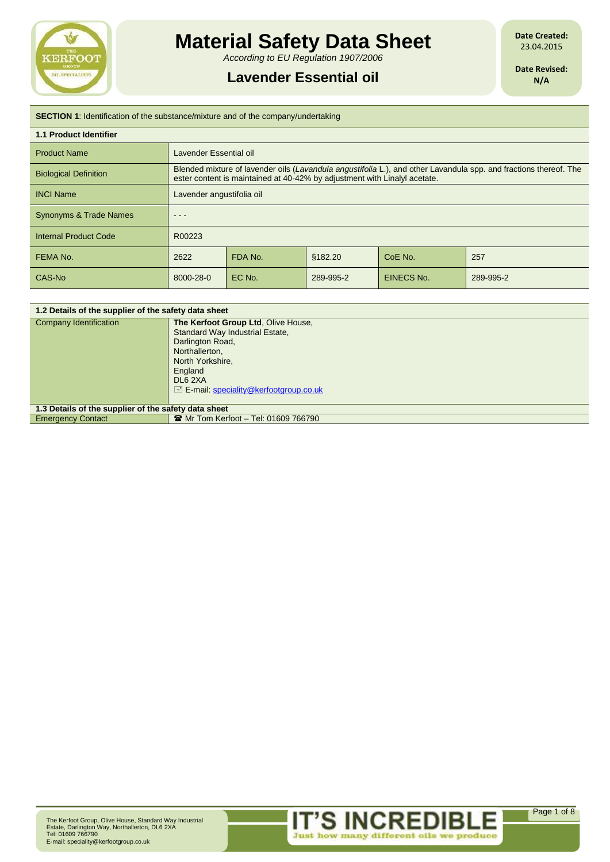

# **Material Safety Data Sheet**

*According to EU Regulation 1907/2006*

## **Lavender Essential oil**

**Date Created:** 23.04.2015

**Date Revised: N/A**

| <b>SECTION 1:</b> Identification of the substance/mixture and of the company/undertaking |                                                                                                                                                                                                |         |           |                   |           |
|------------------------------------------------------------------------------------------|------------------------------------------------------------------------------------------------------------------------------------------------------------------------------------------------|---------|-----------|-------------------|-----------|
| <b>1.1 Product Identifier</b>                                                            |                                                                                                                                                                                                |         |           |                   |           |
| <b>Product Name</b>                                                                      | Lavender Essential oil                                                                                                                                                                         |         |           |                   |           |
| <b>Biological Definition</b>                                                             | Blended mixture of lavender oils (Lavandula angustifolia L.), and other Lavandula spp. and fractions thereof. The<br>ester content is maintained at 40-42% by adjustment with Linalyl acetate. |         |           |                   |           |
| <b>INCI Name</b>                                                                         | Lavender angustifolia oil                                                                                                                                                                      |         |           |                   |           |
| <b>Synonyms &amp; Trade Names</b>                                                        |                                                                                                                                                                                                |         |           |                   |           |
| <b>Internal Product Code</b>                                                             | R00223                                                                                                                                                                                         |         |           |                   |           |
| FEMA No.                                                                                 | 2622                                                                                                                                                                                           | FDA No. | §182.20   | CoE No.           | 257       |
| CAS-No                                                                                   | 8000-28-0                                                                                                                                                                                      | EC No.  | 289-995-2 | <b>EINECS No.</b> | 289-995-2 |

| 1.2 Details of the supplier of the safety data sheet |                                                                                                                                                                                                          |  |
|------------------------------------------------------|----------------------------------------------------------------------------------------------------------------------------------------------------------------------------------------------------------|--|
| Company Identification                               | The Kerfoot Group Ltd, Olive House,<br>Standard Way Industrial Estate,<br>Darlington Road,<br>Northallerton,<br>North Yorkshire,<br>England<br>DL6 2XA<br>$\equiv$ E-mail: speciality@kerfootgroup.co.uk |  |
| 1.3 Details of the supplier of the safety data sheet |                                                                                                                                                                                                          |  |
| <b>Emergency Contact</b>                             | <b>■ Mr Tom Kerfoot - Tel: 01609 766790</b>                                                                                                                                                              |  |
|                                                      |                                                                                                                                                                                                          |  |

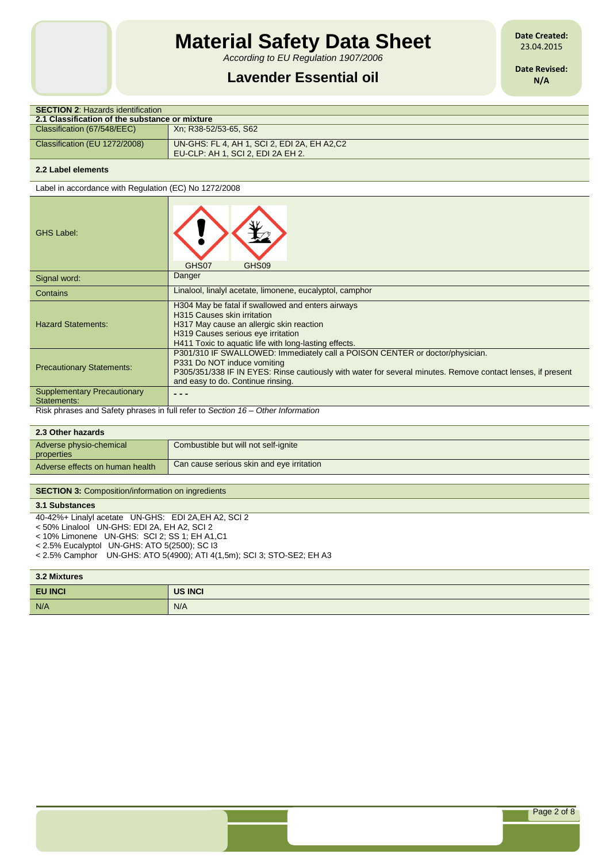# **Material Safety Data Sheet**

*According to EU Regulation 1907/2006*

## **Lavender Essential oil**

**Date Created:** 23.04.2015

**Date Revised: N/A**

| <b>SECTION 2: Hazards identification</b>       |                                                                                  |  |  |  |
|------------------------------------------------|----------------------------------------------------------------------------------|--|--|--|
| 2.1 Classification of the substance or mixture |                                                                                  |  |  |  |
| Classification (67/548/EEC)                    | Xn: R38-52/53-65, S62                                                            |  |  |  |
| Classification (EU 1272/2008)                  | UN-GHS: FL 4, AH 1, SCI 2, EDI 2A, EH A2,C2<br>EU-CLP: AH 1, SCI 2, EDI 2A EH 2, |  |  |  |
|                                                |                                                                                  |  |  |  |

### **2.2 Label elements**

Label in accordance with Regulation (EC) No 1272/2008

| <b>GHS Label:</b>                                                               | GHS07<br>GHS09                                                                                                                                                                                                                                                  |  |  |
|---------------------------------------------------------------------------------|-----------------------------------------------------------------------------------------------------------------------------------------------------------------------------------------------------------------------------------------------------------------|--|--|
| Signal word:                                                                    | Danger                                                                                                                                                                                                                                                          |  |  |
| Contains                                                                        | Linalool, linalyl acetate, limonene, eucalyptol, camphor                                                                                                                                                                                                        |  |  |
| <b>Hazard Statements:</b>                                                       | H304 May be fatal if swallowed and enters airways<br><b>H315 Causes skin irritation</b><br>H317 May cause an allergic skin reaction<br>H319 Causes serious eye irritation<br>H411 Toxic to aquatic life with long-lasting effects.                              |  |  |
| <b>Precautionary Statements:</b>                                                | P301/310 IF SWALLOWED: Immediately call a POISON CENTER or doctor/physician.<br>P331 Do NOT induce vomiting<br>P305/351/338 IF IN EYES: Rinse cautiously with water for several minutes. Remove contact lenses, if present<br>and easy to do. Continue rinsing. |  |  |
| <b>Supplementary Precautionary</b><br>Statements:                               |                                                                                                                                                                                                                                                                 |  |  |
| Risk phrases and Safety phrases in full refer to Section 16 – Other Information |                                                                                                                                                                                                                                                                 |  |  |

**2.3 Other hazards** Adverse physio-chemical properties Combustible but will not self-ignite Adverse effects on human health Can cause serious skin and eye irritation

#### **SECTION 3: Composition/information on ingredients**

### **3.1 Substances**

40-42%+ Linalyl acetate UN-GHS: EDI 2A,EH A2, SCI 2

- < 50% Linalool UN-GHS: EDI 2A, EH A2, SCI 2
- < 10% Limonene UN-GHS: SCI 2; SS 1; EH A1,C1
- < 2.5% Eucalyptol UN-GHS: ATO 5(2500); SC I3
- < 2.5% Camphor UN-GHS: ATO 5(4900); ATI 4(1,5m); SCI 3; STO-SE2; EH A3

#### **3.2 Mixtures**

| <b>3.2 MIXTURES</b> |         |  |
|---------------------|---------|--|
| <b>EU INCI</b>      | US INCI |  |
| N/A                 | N/A     |  |